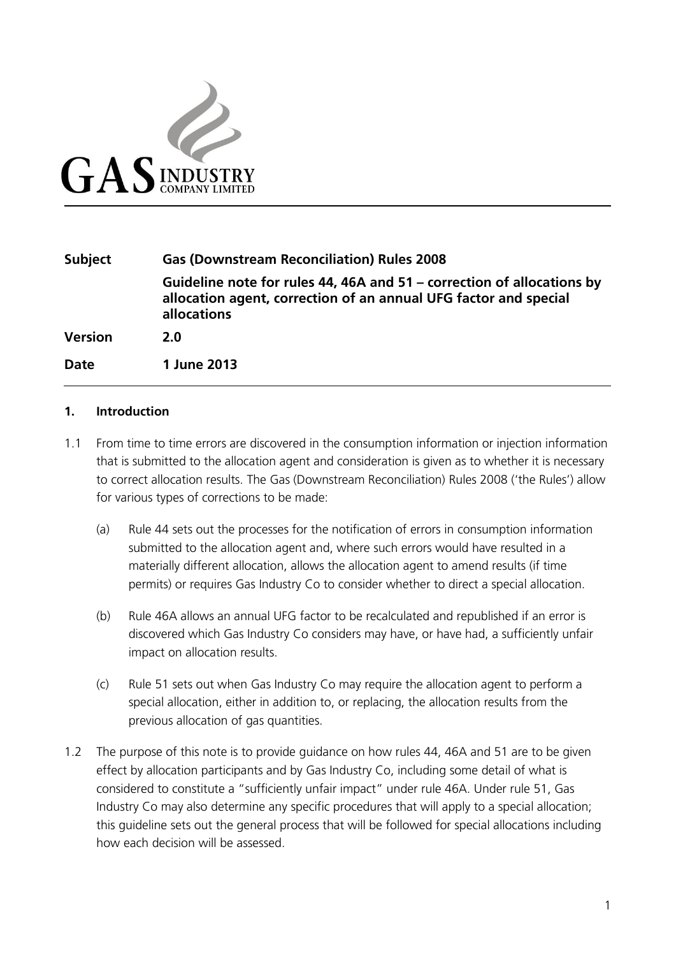

| <b>Subject</b> | <b>Gas (Downstream Reconciliation) Rules 2008</b>                                                                                                         |
|----------------|-----------------------------------------------------------------------------------------------------------------------------------------------------------|
|                | Guideline note for rules 44, 46A and 51 – correction of allocations by<br>allocation agent, correction of an annual UFG factor and special<br>allocations |
| <b>Version</b> | 2.O                                                                                                                                                       |
| <b>Date</b>    | 1 June 2013                                                                                                                                               |

#### **1. Introduction**

- 1.1 From time to time errors are discovered in the consumption information or injection information that is submitted to the allocation agent and consideration is given as to whether it is necessary to correct allocation results. The Gas (Downstream Reconciliation) Rules 2008 ('the Rules') allow for various types of corrections to be made:
	- (a) Rule 44 sets out the processes for the notification of errors in consumption information submitted to the allocation agent and, where such errors would have resulted in a materially different allocation, allows the allocation agent to amend results (if time permits) or requires Gas Industry Co to consider whether to direct a special allocation.
	- (b) Rule 46A allows an annual UFG factor to be recalculated and republished if an error is discovered which Gas Industry Co considers may have, or have had, a sufficiently unfair impact on allocation results.
	- (c) Rule 51 sets out when Gas Industry Co may require the allocation agent to perform a special allocation, either in addition to, or replacing, the allocation results from the previous allocation of gas quantities.
- 1.2 The purpose of this note is to provide guidance on how rules 44, 46A and 51 are to be given effect by allocation participants and by Gas Industry Co, including some detail of what is considered to constitute a "sufficiently unfair impact" under rule 46A. Under rule 51, Gas Industry Co may also determine any specific procedures that will apply to a special allocation; this guideline sets out the general process that will be followed for special allocations including how each decision will be assessed.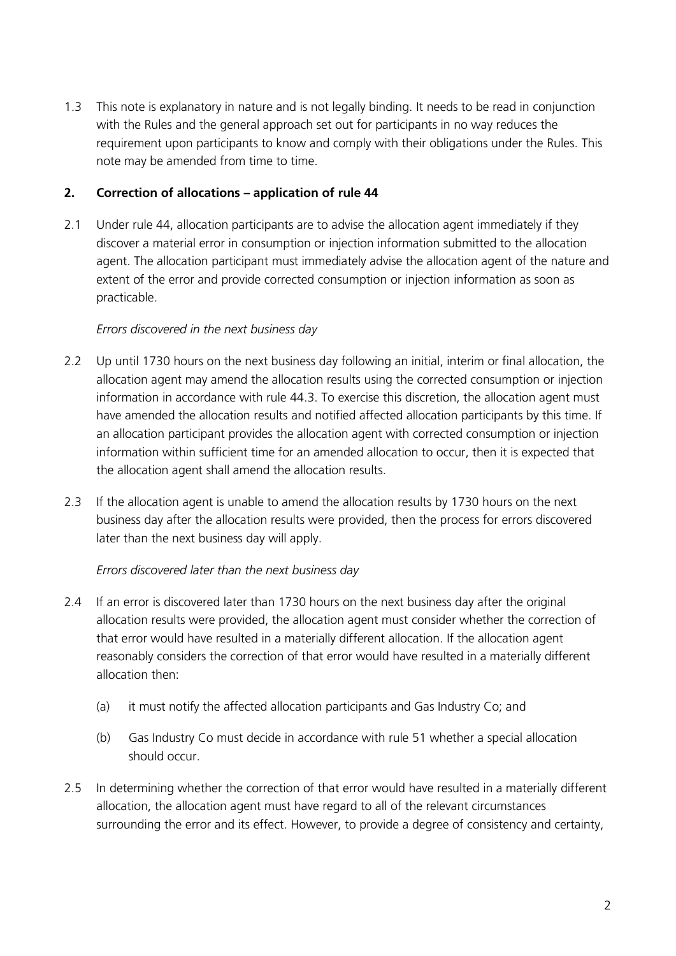1.3 This note is explanatory in nature and is not legally binding. It needs to be read in conjunction with the Rules and the general approach set out for participants in no way reduces the requirement upon participants to know and comply with their obligations under the Rules. This note may be amended from time to time.

## **2. Correction of allocations – application of rule 44**

2.1 Under rule 44, allocation participants are to advise the allocation agent immediately if they discover a material error in consumption or injection information submitted to the allocation agent. The allocation participant must immediately advise the allocation agent of the nature and extent of the error and provide corrected consumption or injection information as soon as practicable.

### *Errors discovered in the next business day*

- 2.2 Up until 1730 hours on the next business day following an initial, interim or final allocation, the allocation agent may amend the allocation results using the corrected consumption or injection information in accordance with rule 44.3. To exercise this discretion, the allocation agent must have amended the allocation results and notified affected allocation participants by this time. If an allocation participant provides the allocation agent with corrected consumption or injection information within sufficient time for an amended allocation to occur, then it is expected that the allocation agent shall amend the allocation results.
- 2.3 If the allocation agent is unable to amend the allocation results by 1730 hours on the next business day after the allocation results were provided, then the process for errors discovered later than the next business day will apply.

### *Errors discovered later than the next business day*

- 2.4 If an error is discovered later than 1730 hours on the next business day after the original allocation results were provided, the allocation agent must consider whether the correction of that error would have resulted in a materially different allocation. If the allocation agent reasonably considers the correction of that error would have resulted in a materially different allocation then:
	- (a) it must notify the affected allocation participants and Gas Industry Co; and
	- (b) Gas Industry Co must decide in accordance with rule 51 whether a special allocation should occur.
- 2.5 In determining whether the correction of that error would have resulted in a materially different allocation, the allocation agent must have regard to all of the relevant circumstances surrounding the error and its effect. However, to provide a degree of consistency and certainty,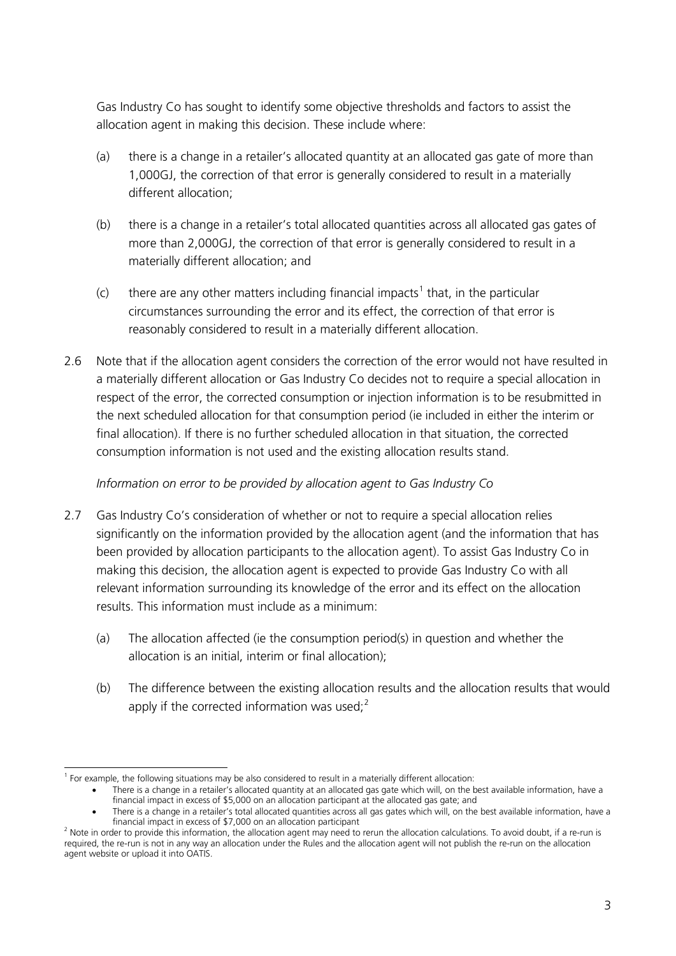Gas Industry Co has sought to identify some objective thresholds and factors to assist the allocation agent in making this decision. These include where:

- (a) there is a change in a retailer's allocated quantity at an allocated gas gate of more than 1,000GJ, the correction of that error is generally considered to result in a materially different allocation;
- (b) there is a change in a retailer's total allocated quantities across all allocated gas gates of more than 2,000GJ, the correction of that error is generally considered to result in a materially different allocation; and
- (c) there are any other matters including financial impacts<sup>[1](#page-2-0)</sup> that, in the particular circumstances surrounding the error and its effect, the correction of that error is reasonably considered to result in a materially different allocation.
- 2.6 Note that if the allocation agent considers the correction of the error would not have resulted in a materially different allocation or Gas Industry Co decides not to require a special allocation in respect of the error, the corrected consumption or injection information is to be resubmitted in the next scheduled allocation for that consumption period (ie included in either the interim or final allocation). If there is no further scheduled allocation in that situation, the corrected consumption information is not used and the existing allocation results stand.

# *Information on error to be provided by allocation agent to Gas Industry Co*

- 2.7 Gas Industry Co's consideration of whether or not to require a special allocation relies significantly on the information provided by the allocation agent (and the information that has been provided by allocation participants to the allocation agent). To assist Gas Industry Co in making this decision, the allocation agent is expected to provide Gas Industry Co with all relevant information surrounding its knowledge of the error and its effect on the allocation results. This information must include as a minimum:
	- (a) The allocation affected (ie the consumption period(s) in question and whether the allocation is an initial, interim or final allocation);
	- (b) The difference between the existing allocation results and the allocation results that would apply if the corrected information was used; $<sup>2</sup>$  $<sup>2</sup>$  $<sup>2</sup>$ </sup>

<span id="page-2-0"></span> <sup>1</sup> For example, the following situations may be also considered to result in a materially different allocation:

<sup>•</sup> There is a change in a retailer's allocated quantity at an allocated gas gate which will, on the best available information, have a financial impact in excess of \$5,000 on an allocation participant at the allocated gas gate; and

<sup>•</sup> There is a change in a retailer's total allocated quantities across all gas gates which will, on the best available information, have a financial impact in excess of \$7,000 on an allocation participant

<span id="page-2-1"></span> $<sup>2</sup>$  Note in order to provide this information, the allocation agent may need to rerun the allocation calculations. To avoid doubt, if a re-run is</sup> required, the re-run is not in any way an allocation under the Rules and the allocation agent will not publish the re-run on the allocation agent website or upload it into OATIS.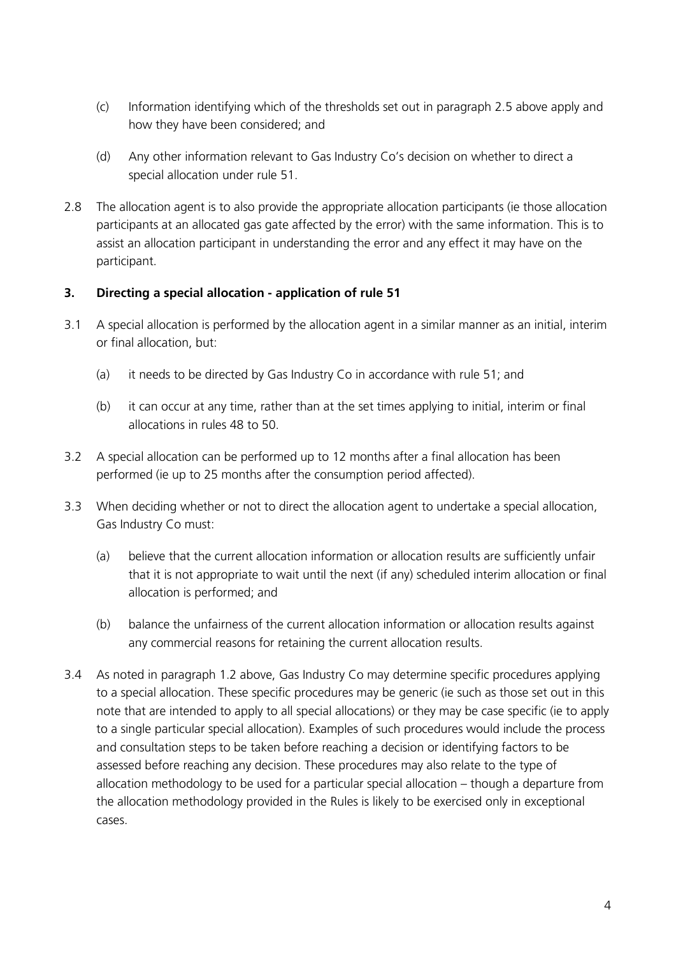- (c) Information identifying which of the thresholds set out in paragraph 2.5 above apply and how they have been considered; and
- (d) Any other information relevant to Gas Industry Co's decision on whether to direct a special allocation under rule 51.
- 2.8 The allocation agent is to also provide the appropriate allocation participants (ie those allocation participants at an allocated gas gate affected by the error) with the same information. This is to assist an allocation participant in understanding the error and any effect it may have on the participant.

# **3. Directing a special allocation - application of rule 51**

- 3.1 A special allocation is performed by the allocation agent in a similar manner as an initial, interim or final allocation, but:
	- (a) it needs to be directed by Gas Industry Co in accordance with rule 51; and
	- (b) it can occur at any time, rather than at the set times applying to initial, interim or final allocations in rules 48 to 50.
- 3.2 A special allocation can be performed up to 12 months after a final allocation has been performed (ie up to 25 months after the consumption period affected).
- 3.3 When deciding whether or not to direct the allocation agent to undertake a special allocation, Gas Industry Co must:
	- (a) believe that the current allocation information or allocation results are sufficiently unfair that it is not appropriate to wait until the next (if any) scheduled interim allocation or final allocation is performed; and
	- (b) balance the unfairness of the current allocation information or allocation results against any commercial reasons for retaining the current allocation results.
- 3.4 As noted in paragraph 1.2 above, Gas Industry Co may determine specific procedures applying to a special allocation. These specific procedures may be generic (ie such as those set out in this note that are intended to apply to all special allocations) or they may be case specific (ie to apply to a single particular special allocation). Examples of such procedures would include the process and consultation steps to be taken before reaching a decision or identifying factors to be assessed before reaching any decision. These procedures may also relate to the type of allocation methodology to be used for a particular special allocation – though a departure from the allocation methodology provided in the Rules is likely to be exercised only in exceptional cases.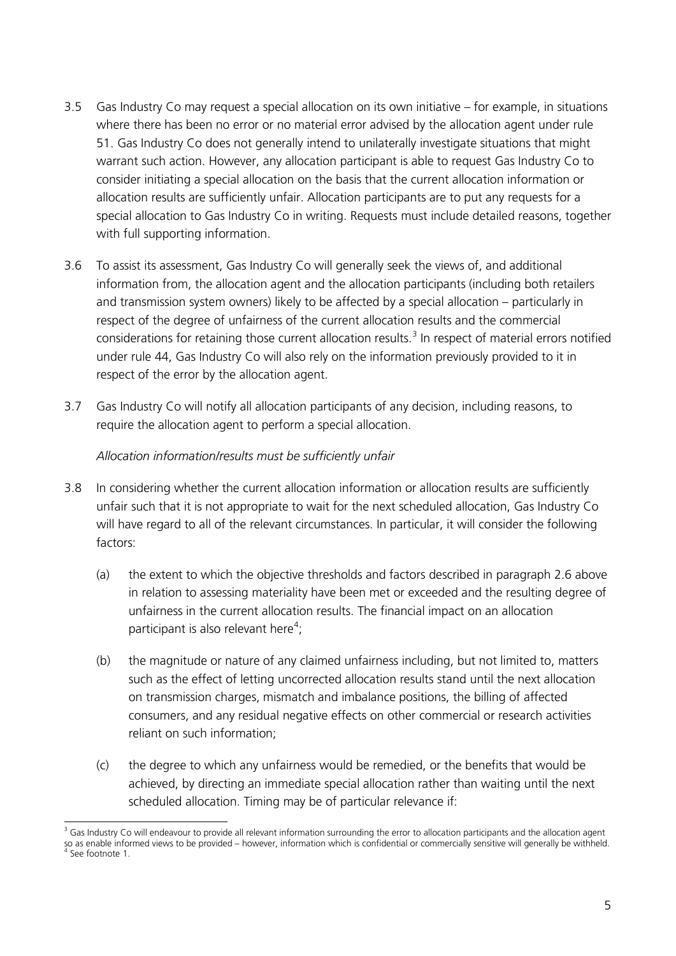- 3.5 Gas Industry Co may request a special allocation on its own initiative for example, in situations where there has been no error or no material error advised by the allocation agent under rule 51. Gas Industry Co does not generally intend to unilaterally investigate situations that might warrant such action. However, any allocation participant is able to request Gas Industry Co to consider initiating a special allocation on the basis that the current allocation information or allocation results are sufficiently unfair. Allocation participants are to put any requests for a special allocation to Gas Industry Co in writing. Requests must include detailed reasons, together with full supporting information.
- 3.6 To assist its assessment, Gas Industry Co will generally seek the views of, and additional information from, the allocation agent and the allocation participants (including both retailers and transmission system owners) likely to be affected by a special allocation – particularly in respect of the degree of unfairness of the current allocation results and the commercial considerations for retaining those current allocation results.<sup>[3](#page-4-0)</sup> In respect of material errors notified under rule 44, Gas Industry Co will also rely on the information previously provided to it in respect of the error by the allocation agent.
- 3.7 Gas Industry Co will notify all allocation participants of any decision, including reasons, to require the allocation agent to perform a special allocation.

## *Allocation information/results must be sufficiently unfair*

- 3.8 In considering whether the current allocation information or allocation results are sufficiently unfair such that it is not appropriate to wait for the next scheduled allocation, Gas Industry Co will have regard to all of the relevant circumstances. In particular, it will consider the following factors:
	- (a) the extent to which the objective thresholds and factors described in paragraph 2.6 above in relation to assessing materiality have been met or exceeded and the resulting degree of unfairness in the current allocation results. The financial impact on an allocation participant is also relevant here<sup>[4](#page-4-1)</sup>;
	- (b) the magnitude or nature of any claimed unfairness including, but not limited to, matters such as the effect of letting uncorrected allocation results stand until the next allocation on transmission charges, mismatch and imbalance positions, the billing of affected consumers, and any residual negative effects on other commercial or research activities reliant on such information;
	- (c) the degree to which any unfairness would be remedied, or the benefits that would be achieved, by directing an immediate special allocation rather than waiting until the next scheduled allocation. Timing may be of particular relevance if:

<span id="page-4-1"></span><span id="page-4-0"></span><sup>&</sup>lt;sup>3</sup> Gas Industry Co will endeavour to provide all relevant information surrounding the error to allocation participants and the allocation agent so as enable informed views to be provided – however, information which is confidential or commercially sensitive will generally be withheld.<br><sup>4</sup> See footnote 1.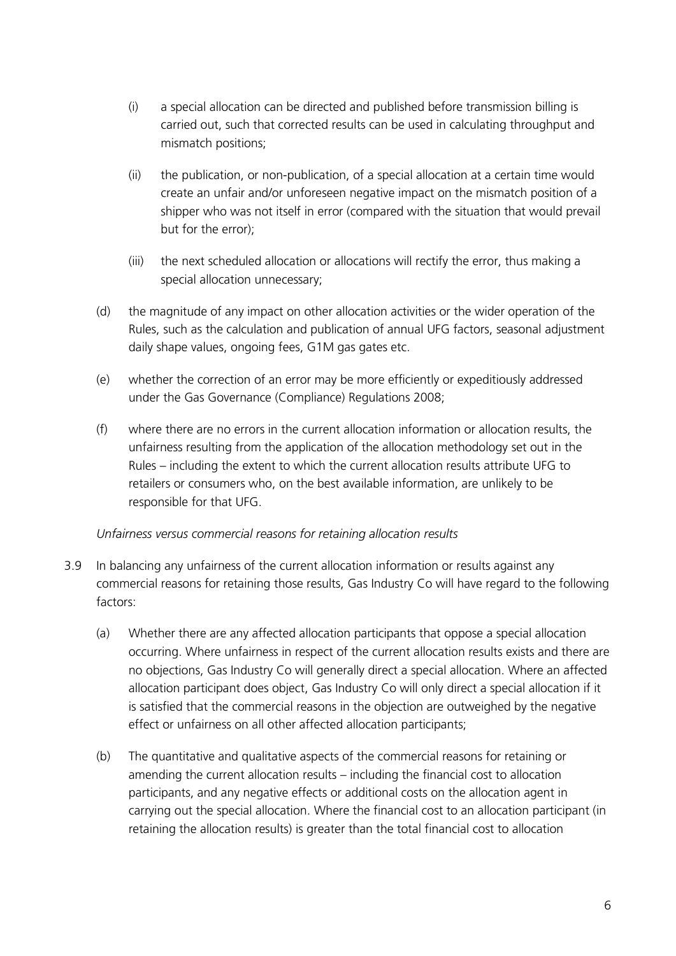- (i) a special allocation can be directed and published before transmission billing is carried out, such that corrected results can be used in calculating throughput and mismatch positions;
- (ii) the publication, or non-publication, of a special allocation at a certain time would create an unfair and/or unforeseen negative impact on the mismatch position of a shipper who was not itself in error (compared with the situation that would prevail but for the error);
- $(iii)$  the next scheduled allocation or allocations will rectify the error, thus making a special allocation unnecessary;
- (d) the magnitude of any impact on other allocation activities or the wider operation of the Rules, such as the calculation and publication of annual UFG factors, seasonal adjustment daily shape values, ongoing fees, G1M gas gates etc.
- (e) whether the correction of an error may be more efficiently or expeditiously addressed under the Gas Governance (Compliance) Regulations 2008;
- (f) where there are no errors in the current allocation information or allocation results, the unfairness resulting from the application of the allocation methodology set out in the Rules – including the extent to which the current allocation results attribute UFG to retailers or consumers who, on the best available information, are unlikely to be responsible for that UFG.

# *Unfairness versus commercial reasons for retaining allocation results*

- 3.9 In balancing any unfairness of the current allocation information or results against any commercial reasons for retaining those results, Gas Industry Co will have regard to the following factors:
	- (a) Whether there are any affected allocation participants that oppose a special allocation occurring. Where unfairness in respect of the current allocation results exists and there are no objections, Gas Industry Co will generally direct a special allocation. Where an affected allocation participant does object, Gas Industry Co will only direct a special allocation if it is satisfied that the commercial reasons in the objection are outweighed by the negative effect or unfairness on all other affected allocation participants;
	- (b) The quantitative and qualitative aspects of the commercial reasons for retaining or amending the current allocation results – including the financial cost to allocation participants, and any negative effects or additional costs on the allocation agent in carrying out the special allocation. Where the financial cost to an allocation participant (in retaining the allocation results) is greater than the total financial cost to allocation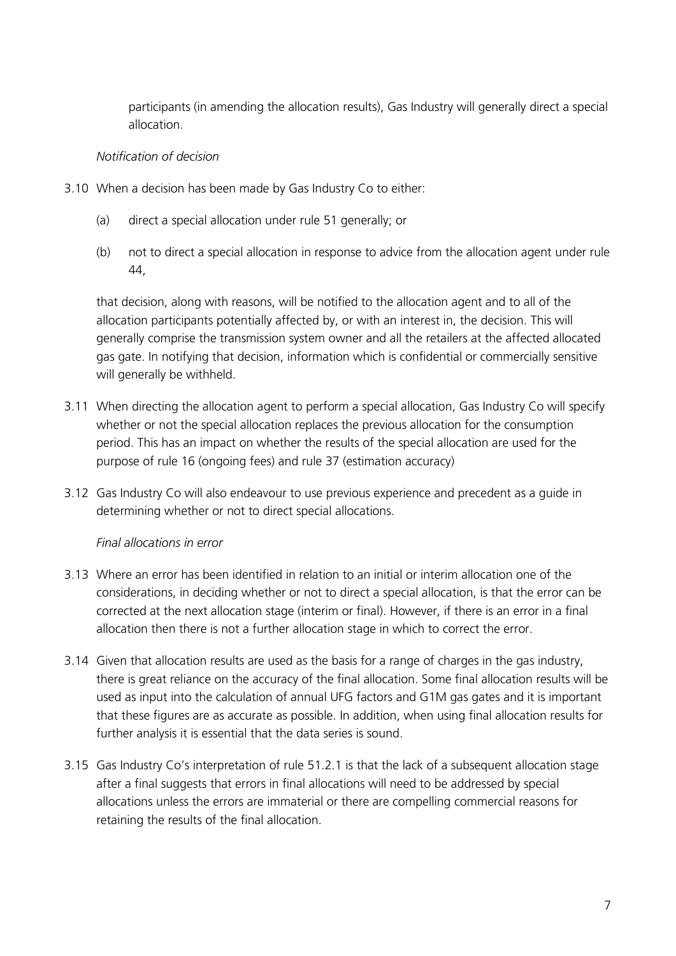participants (in amending the allocation results), Gas Industry will generally direct a special allocation.

### *Notification of decision*

- 3.10 When a decision has been made by Gas Industry Co to either:
	- (a) direct a special allocation under rule 51 generally; or
	- (b) not to direct a special allocation in response to advice from the allocation agent under rule 44,

that decision, along with reasons, will be notified to the allocation agent and to all of the allocation participants potentially affected by, or with an interest in, the decision. This will generally comprise the transmission system owner and all the retailers at the affected allocated gas gate. In notifying that decision, information which is confidential or commercially sensitive will generally be withheld.

- 3.11 When directing the allocation agent to perform a special allocation, Gas Industry Co will specify whether or not the special allocation replaces the previous allocation for the consumption period. This has an impact on whether the results of the special allocation are used for the purpose of rule 16 (ongoing fees) and rule 37 (estimation accuracy)
- 3.12 Gas Industry Co will also endeavour to use previous experience and precedent as a guide in determining whether or not to direct special allocations.

### *Final allocations in error*

- 3.13 Where an error has been identified in relation to an initial or interim allocation one of the considerations, in deciding whether or not to direct a special allocation, is that the error can be corrected at the next allocation stage (interim or final). However, if there is an error in a final allocation then there is not a further allocation stage in which to correct the error.
- 3.14 Given that allocation results are used as the basis for a range of charges in the gas industry, there is great reliance on the accuracy of the final allocation. Some final allocation results will be used as input into the calculation of annual UFG factors and G1M gas gates and it is important that these figures are as accurate as possible. In addition, when using final allocation results for further analysis it is essential that the data series is sound.
- 3.15 Gas Industry Co's interpretation of rule 51.2.1 is that the lack of a subsequent allocation stage after a final suggests that errors in final allocations will need to be addressed by special allocations unless the errors are immaterial or there are compelling commercial reasons for retaining the results of the final allocation.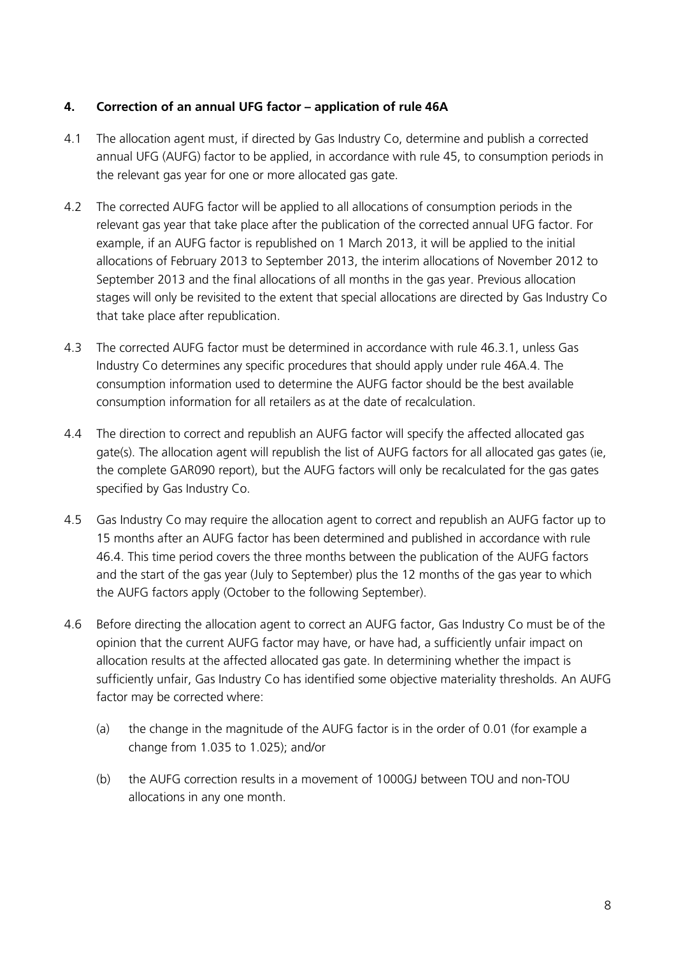## **4. Correction of an annual UFG factor – application of rule 46A**

- 4.1 The allocation agent must, if directed by Gas Industry Co, determine and publish a corrected annual UFG (AUFG) factor to be applied, in accordance with rule 45, to consumption periods in the relevant gas year for one or more allocated gas gate.
- 4.2 The corrected AUFG factor will be applied to all allocations of consumption periods in the relevant gas year that take place after the publication of the corrected annual UFG factor. For example, if an AUFG factor is republished on 1 March 2013, it will be applied to the initial allocations of February 2013 to September 2013, the interim allocations of November 2012 to September 2013 and the final allocations of all months in the gas year. Previous allocation stages will only be revisited to the extent that special allocations are directed by Gas Industry Co that take place after republication.
- 4.3 The corrected AUFG factor must be determined in accordance with rule 46.3.1, unless Gas Industry Co determines any specific procedures that should apply under rule 46A.4. The consumption information used to determine the AUFG factor should be the best available consumption information for all retailers as at the date of recalculation.
- 4.4 The direction to correct and republish an AUFG factor will specify the affected allocated gas gate(s). The allocation agent will republish the list of AUFG factors for all allocated gas gates (ie, the complete GAR090 report), but the AUFG factors will only be recalculated for the gas gates specified by Gas Industry Co.
- 4.5 Gas Industry Co may require the allocation agent to correct and republish an AUFG factor up to 15 months after an AUFG factor has been determined and published in accordance with rule 46.4. This time period covers the three months between the publication of the AUFG factors and the start of the gas year (July to September) plus the 12 months of the gas year to which the AUFG factors apply (October to the following September).
- 4.6 Before directing the allocation agent to correct an AUFG factor, Gas Industry Co must be of the opinion that the current AUFG factor may have, or have had, a sufficiently unfair impact on allocation results at the affected allocated gas gate. In determining whether the impact is sufficiently unfair, Gas Industry Co has identified some objective materiality thresholds. An AUFG factor may be corrected where:
	- (a) the change in the magnitude of the AUFG factor is in the order of 0.01 (for example a change from 1.035 to 1.025); and/or
	- (b) the AUFG correction results in a movement of 1000GJ between TOU and non-TOU allocations in any one month.